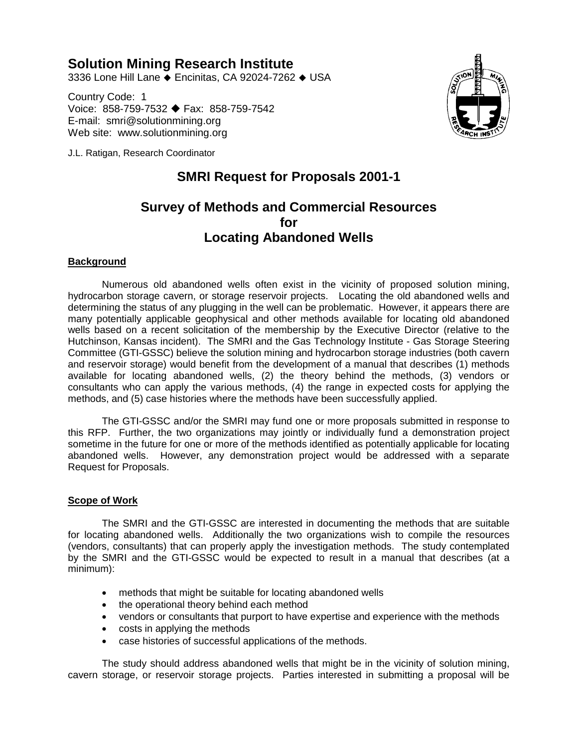# **Solution Mining Research Institute**

3336 Lone Hill Lane ♦ Encinitas, CA 92024-7262 ♦ USA

Country Code: 1 Voice: 858-759-7532 ♦ Fax: 858-759-7542 E-mail: smri@solutionmining.org Web site: www.solutionmining.org



J.L. Ratigan, Research Coordinator

# **SMRI Request for Proposals 2001-1**

# **Survey of Methods and Commercial Resources for Locating Abandoned Wells**

### **Background**

Numerous old abandoned wells often exist in the vicinity of proposed solution mining, hydrocarbon storage cavern, or storage reservoir projects. Locating the old abandoned wells and determining the status of any plugging in the well can be problematic. However, it appears there are many potentially applicable geophysical and other methods available for locating old abandoned wells based on a recent solicitation of the membership by the Executive Director (relative to the Hutchinson, Kansas incident). The SMRI and the Gas Technology Institute - Gas Storage Steering Committee (GTI-GSSC) believe the solution mining and hydrocarbon storage industries (both cavern and reservoir storage) would benefit from the development of a manual that describes (1) methods available for locating abandoned wells, (2) the theory behind the methods, (3) vendors or consultants who can apply the various methods, (4) the range in expected costs for applying the methods, and (5) case histories where the methods have been successfully applied.

The GTI-GSSC and/or the SMRI may fund one or more proposals submitted in response to this RFP. Further, the two organizations may jointly or individually fund a demonstration project sometime in the future for one or more of the methods identified as potentially applicable for locating abandoned wells. However, any demonstration project would be addressed with a separate Request for Proposals.

### **Scope of Work**

The SMRI and the GTI-GSSC are interested in documenting the methods that are suitable for locating abandoned wells. Additionally the two organizations wish to compile the resources (vendors, consultants) that can properly apply the investigation methods. The study contemplated by the SMRI and the GTI-GSSC would be expected to result in a manual that describes (at a minimum):

- methods that might be suitable for locating abandoned wells
- the operational theory behind each method
- vendors or consultants that purport to have expertise and experience with the methods
- costs in applying the methods
- case histories of successful applications of the methods.

The study should address abandoned wells that might be in the vicinity of solution mining, cavern storage, or reservoir storage projects. Parties interested in submitting a proposal will be